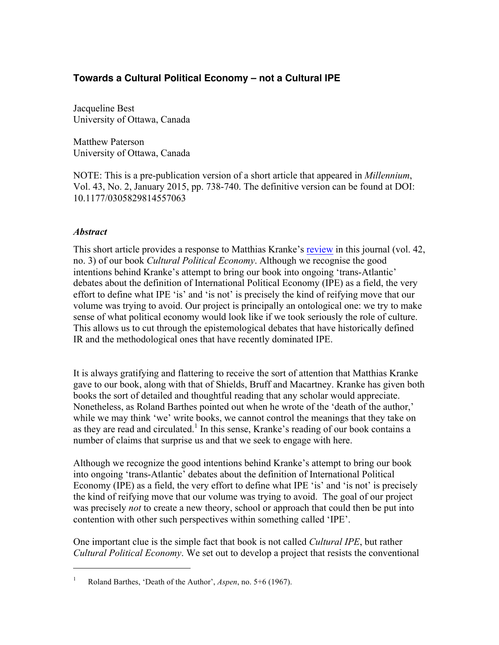## **Towards a Cultural Political Economy – not a Cultural IPE**

Jacqueline Best University of Ottawa, Canada

Matthew Paterson University of Ottawa, Canada

NOTE: This is a pre-publication version of a short article that appeared in *Millennium*, Vol. 43, No. 2, January 2015, pp. 738-740. The definitive version can be found at DOI: 10.1177/0305829814557063

## *Abstract*

 $\overline{a}$ 

This short article provides a response to Matthias Kranke's review in this journal (vol. 42, no. 3) of our book *Cultural Political Economy*. Although we recognise the good intentions behind Kranke's attempt to bring our book into ongoing 'trans-Atlantic' debates about the definition of International Political Economy (IPE) as a field, the very effort to define what IPE 'is' and 'is not' is precisely the kind of reifying move that our volume was trying to avoid. Our project is principally an ontological one: we try to make sense of what political economy would look like if we took seriously the role of culture. This allows us to cut through the epistemological debates that have historically defined IR and the methodological ones that have recently dominated IPE.

It is always gratifying and flattering to receive the sort of attention that Matthias Kranke gave to our book, along with that of Shields, Bruff and Macartney. Kranke has given both books the sort of detailed and thoughtful reading that any scholar would appreciate. Nonetheless, as Roland Barthes pointed out when he wrote of the 'death of the author,' while we may think 'we' write books, we cannot control the meanings that they take on as they are read and circulated.<sup>1</sup> In this sense, Kranke's reading of our book contains a number of claims that surprise us and that we seek to engage with here.

Although we recognize the good intentions behind Kranke's attempt to bring our book into ongoing 'trans-Atlantic' debates about the definition of International Political Economy (IPE) as a field, the very effort to define what IPE 'is' and 'is not' is precisely the kind of reifying move that our volume was trying to avoid. The goal of our project was precisely *not* to create a new theory, school or approach that could then be put into contention with other such perspectives within something called 'IPE'.

One important clue is the simple fact that book is not called *Cultural IPE*, but rather *Cultural Political Economy*. We set out to develop a project that resists the conventional

<sup>1</sup> Roland Barthes, 'Death of the Author', *Aspen*, no. 5+6 (1967).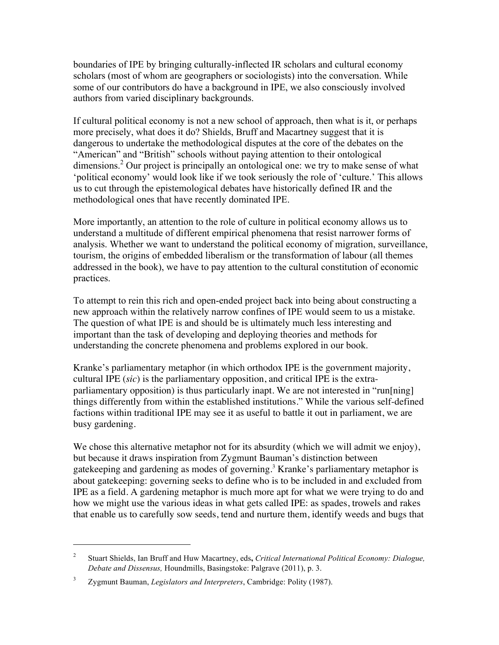boundaries of IPE by bringing culturally-inflected IR scholars and cultural economy scholars (most of whom are geographers or sociologists) into the conversation. While some of our contributors do have a background in IPE, we also consciously involved authors from varied disciplinary backgrounds.

If cultural political economy is not a new school of approach, then what is it, or perhaps more precisely, what does it do? Shields, Bruff and Macartney suggest that it is dangerous to undertake the methodological disputes at the core of the debates on the "American" and "British" schools without paying attention to their ontological dimensions.<sup>2</sup> Our project is principally an ontological one: we try to make sense of what 'political economy' would look like if we took seriously the role of 'culture.' This allows us to cut through the epistemological debates have historically defined IR and the methodological ones that have recently dominated IPE.

More importantly, an attention to the role of culture in political economy allows us to understand a multitude of different empirical phenomena that resist narrower forms of analysis. Whether we want to understand the political economy of migration, surveillance, tourism, the origins of embedded liberalism or the transformation of labour (all themes addressed in the book), we have to pay attention to the cultural constitution of economic practices.

To attempt to rein this rich and open-ended project back into being about constructing a new approach within the relatively narrow confines of IPE would seem to us a mistake. The question of what IPE is and should be is ultimately much less interesting and important than the task of developing and deploying theories and methods for understanding the concrete phenomena and problems explored in our book.

Kranke's parliamentary metaphor (in which orthodox IPE is the government majority, cultural IPE (*sic*) is the parliamentary opposition, and critical IPE is the extraparliamentary opposition) is thus particularly inapt. We are not interested in "run[ning] things differently from within the established institutions." While the various self-defined factions within traditional IPE may see it as useful to battle it out in parliament, we are busy gardening.

We chose this alternative metaphor not for its absurdity (which we will admit we enjoy), but because it draws inspiration from Zygmunt Bauman's distinction between gatekeeping and gardening as modes of governing.<sup>3</sup> Kranke's parliamentary metaphor is about gatekeeping: governing seeks to define who is to be included in and excluded from IPE as a field. A gardening metaphor is much more apt for what we were trying to do and how we might use the various ideas in what gets called IPE: as spades, trowels and rakes that enable us to carefully sow seeds, tend and nurture them, identify weeds and bugs that

 $\overline{a}$ 

<sup>2</sup> Stuart Shields, Ian Bruff and Huw Macartney, eds**,** *Critical International Political Economy: Dialogue, Debate and Dissensus,* Houndmills, Basingstoke: Palgrave (2011), p. 3.

<sup>3</sup> Zygmunt Bauman, *Legislators and Interpreters*, Cambridge: Polity (1987).